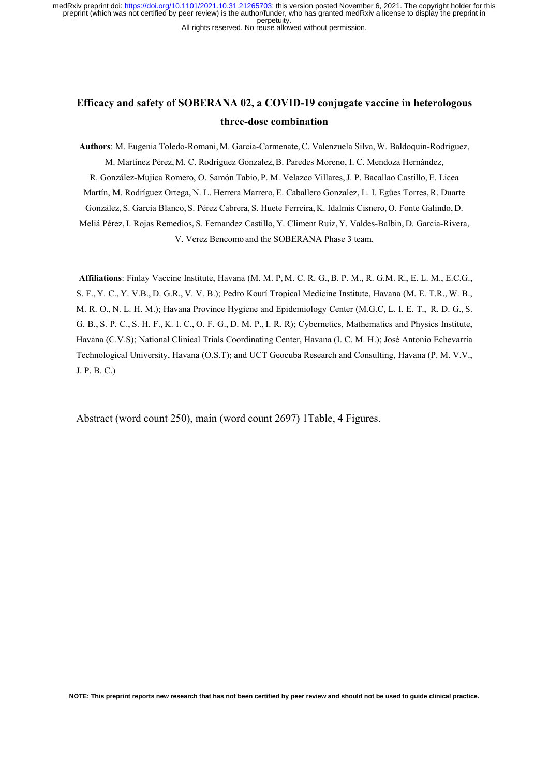All rights reserved. No reuse allowed without permission.

# **Efficacy and safety of SOBERANA 02, a COVID-19 conjugate vaccine in heterologous three-dose combination**

**Authors**: M. Eugenia Toledo-Romani, M. Garcia-Carmenate,C. Valenzuela Silva, W. Baldoquin-Rodriguez, M. Martínez Pérez, M. C. Rodríguez Gonzalez,B. Paredes Moreno, I. C. Mendoza Hernández, R. González-Mujica Romero, O. Samón Tabio, P. M. Velazco Villares,J. P. Bacallao Castillo, E. Licea Martín, M. Rodríguez Ortega, N. L. Herrera Marrero, E. Caballero Gonzalez, L. I. Egües Torres,R. Duarte González, S. García Blanco, S. Pérez Cabrera, S. Huete Ferreira, K. Idalmis Cisnero, O. Fonte Galindo, D. Meliá Pérez, I. Rojas Remedios, S. Fernandez Castillo, Y. Climent Ruiz, Y. Valdes-Balbin, D. Garcia-Rivera, V. Verez Bencomo and the SOBERANA Phase 3 team.

**Affiliations**: Finlay Vaccine Institute, Havana (M. M. P, M. C. R. G., B. P. M., R. G.M. R., E. L. M., E.C.G., S. F., Y. C., Y. V.B., D. G.R., V. V. B.); Pedro Kourí Tropical Medicine Institute, Havana (M. E. T.R., W. B., M. R. O., N. L. H. M.); Havana Province Hygiene and Epidemiology Center (M.G.C, L. I. E. T., R. D. G., S. G. B., S. P. C., S. H. F., K. I. C., O. F. G., D. M. P., I. R. R); Cybernetics, Mathematics and Physics Institute, Havana (C.V.S); National Clinical Trials Coordinating Center, Havana (I. C. M. H.); José Antonio Echevarría Technological University, Havana (O.S.T); and UCT Geocuba Research and Consulting, Havana (P. M. V.V., J. P. B. C.)

Abstract (word count 250), main (word count 2697) 1Table, 4 Figures.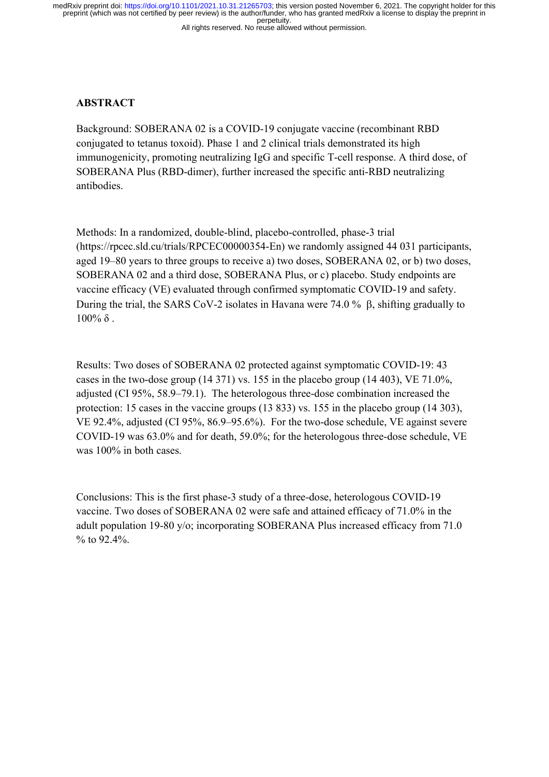# **ABSTRACT**

Background: SOBERANA 02 is a COVID-19 conjugate vaccine (recombinant RBD conjugated to tetanus toxoid). Phase 1 and 2 clinical trials demonstrated its high immunogenicity, promoting neutralizing IgG and specific T-cell response. A third dose, of SOBERANA Plus (RBD-dimer), further increased the specific anti-RBD neutralizing antibodies.

Methods: In a randomized, double-blind, placebo-controlled, phase-3 trial (https://rpcec.sld.cu/trials/RPCEC00000354-En) we randomly assigned 44 031 participants, aged 19–80 years to three groups to receive a) two doses, SOBERANA 02, or b) two doses, SOBERANA 02 and a third dose, SOBERANA Plus, or c) placebo. Study endpoints are vaccine efficacy (VE) evaluated through confirmed symptomatic COVID-19 and safety. During the trial, the SARS CoV-2 isolates in Havana were 74.0 %  $\beta$ , shifting gradually to  $100\%$  δ.

Results: Two doses of SOBERANA 02 protected against symptomatic COVID-19: 43 cases in the two-dose group (14 371) vs. 155 in the placebo group (14 403), VE 71.0%, adjusted (CI 95%, 58.9–79.1). The heterologous three-dose combination increased the protection: 15 cases in the vaccine groups (13 833) vs. 155 in the placebo group (14 303), VE 92.4%, adjusted (CI 95%, 86.9–95.6%). For the two-dose schedule, VE against severe COVID-19 was 63.0% and for death, 59.0%; for the heterologous three-dose schedule, VE was 100% in both cases.

Conclusions: This is the first phase-3 study of a three-dose, heterologous COVID-19 vaccine. Two doses of SOBERANA 02 were safe and attained efficacy of 71.0% in the adult population 19-80 y/o; incorporating SOBERANA Plus increased efficacy from 71.0 % to 92.4%.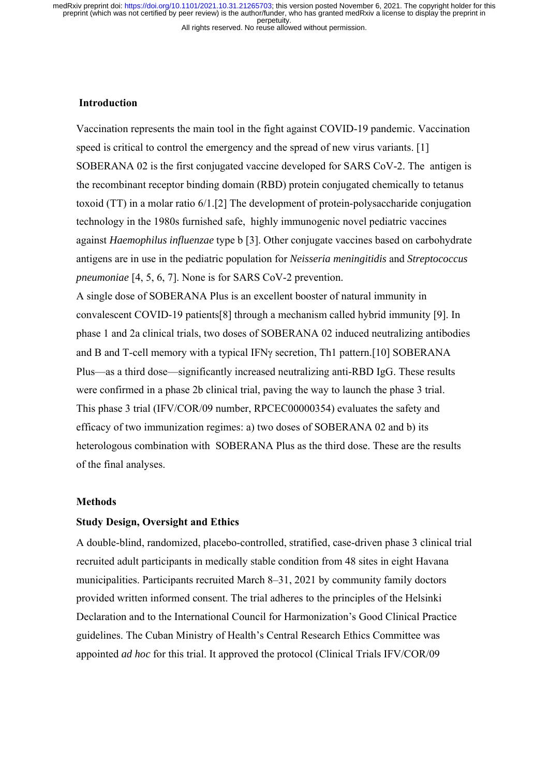# All rights reserved. No reuse allowed without permission.

#### **Introduction**

Vaccination represents the main tool in the fight against COVID-19 pandemic. Vaccination speed is critical to control the emergency and the spread of new virus variants. [1] SOBERANA 02 is the first conjugated vaccine developed for SARS CoV-2. The antigen is the recombinant receptor binding domain (RBD) protein conjugated chemically to tetanus toxoid (TT) in a molar ratio 6/1.[2] The development of protein-polysaccharide conjugation technology in the 1980s furnished safe, highly immunogenic novel pediatric vaccines against *Haemophilus influenzae* type b [3]. Other conjugate vaccines based on carbohydrate antigens are in use in the pediatric population for *Neisseria meningitidis* and *Streptococcus pneumoniae* [4, 5, 6, 7]. None is for SARS CoV-2 prevention.

A single dose of SOBERANA Plus is an excellent booster of natural immunity in convalescent COVID-19 patients[8] through a mechanism called hybrid immunity [9]. In phase 1 and 2a clinical trials, two doses of SOBERANA 02 induced neutralizing antibodies and B and T-cell memory with a typical IFN $\gamma$  secretion, Th1 pattern. [10] SOBERANA Plus—as a third dose—significantly increased neutralizing anti-RBD IgG. These results were confirmed in a phase 2b clinical trial, paving the way to launch the phase 3 trial. This phase 3 trial (IFV/COR/09 number, RPCEC00000354) evaluates the safety and efficacy of two immunization regimes: a) two doses of SOBERANA 02 and b) its heterologous combination with SOBERANA Plus as the third dose. These are the results of the final analyses.

## **Methods**

# **Study Design, Oversight and Ethics**

A double-blind, randomized, placebo-controlled, stratified, case-driven phase 3 clinical trial recruited adult participants in medically stable condition from 48 sites in eight Havana municipalities. Participants recruited March 8–31, 2021 by community family doctors provided written informed consent. The trial adheres to the principles of the Helsinki Declaration and to the International Council for Harmonization's Good Clinical Practice guidelines. The Cuban Ministry of Health's Central Research Ethics Committee was appointed *ad hoc* for this trial. It approved the protocol (Clinical Trials IFV/COR/09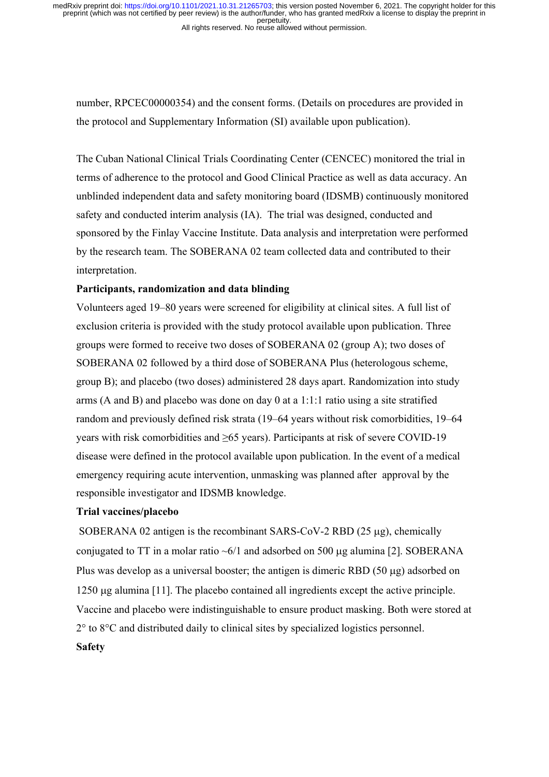number, RPCEC00000354) and the consent forms. (Details on procedures are provided in the protocol and Supplementary Information (SI) available upon publication).

The Cuban National Clinical Trials Coordinating Center (CENCEC) monitored the trial in terms of adherence to the protocol and Good Clinical Practice as well as data accuracy. An unblinded independent data and safety monitoring board (IDSMB) continuously monitored safety and conducted interim analysis (IA). The trial was designed, conducted and sponsored by the Finlay Vaccine Institute. Data analysis and interpretation were performed by the research team. The SOBERANA 02 team collected data and contributed to their interpretation.

## **Participants, randomization and data blinding**

Volunteers aged 19–80 years were screened for eligibility at clinical sites. A full list of exclusion criteria is provided with the study protocol available upon publication. Three groups were formed to receive two doses of SOBERANA 02 (group A); two doses of SOBERANA 02 followed by a third dose of SOBERANA Plus (heterologous scheme, group B); and placebo (two doses) administered 28 days apart. Randomization into study arms (A and B) and placebo was done on day 0 at a 1:1:1 ratio using a site stratified random and previously defined risk strata (19–64 years without risk comorbidities, 19–64 years with risk comorbidities and ≥65 years). Participants at risk of severe COVID-19 disease were defined in the protocol available upon publication. In the event of a medical emergency requiring acute intervention, unmasking was planned after approval by the responsible investigator and IDSMB knowledge.

### **Trial vaccines/placebo**

SOBERANA 02 antigen is the recombinant SARS-CoV-2 RBD  $(25 \mu g)$ , chemically conjugated to TT in a molar ratio  $\sim 6/1$  and adsorbed on 500 µg alumina [2]. SOBERANA Plus was develop as a universal booster; the antigen is dimeric RBD  $(50 \mu g)$  adsorbed on  $1250 \mu$ g alumina [11]. The placebo contained all ingredients except the active principle. Vaccine and placebo were indistinguishable to ensure product masking. Both were stored at 2° to 8°C and distributed daily to clinical sites by specialized logistics personnel. **Safety**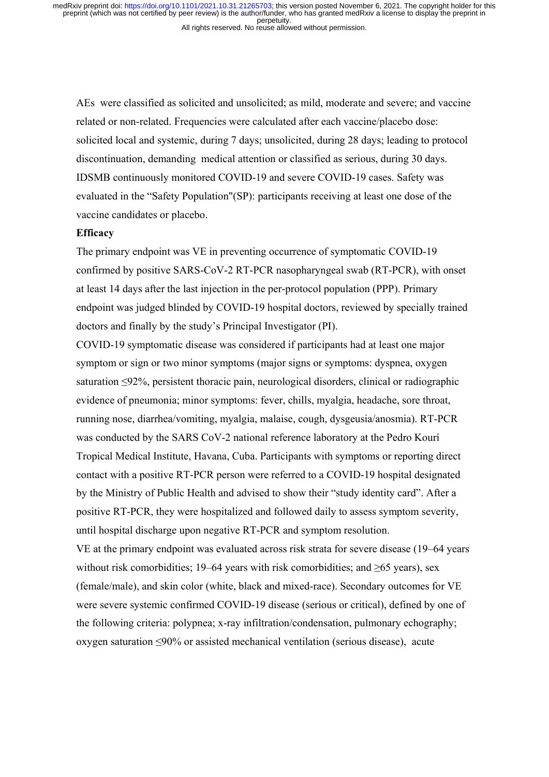AEs were classified as solicited and unsolicited; as mild, moderate and severe; and vaccine related or non-related. Frequencies were calculated after each vaccine/placebo dose: solicited local and systemic, during 7 days; unsolicited, during 28 days; leading to protocol discontinuation, demanding medical attention or classified as serious, during 30 days. IDSMB continuously monitored COVID-19 and severe COVID-19 cases. Safety was evaluated in the "Safety Population"(SP): participants receiving at least one dose of the vaccine candidates or placebo.

#### **Efficacy**

The primary endpoint was VE in preventing occurrence of symptomatic COVID-19 confirmed by positive SARS-CoV-2 RT-PCR nasopharyngeal swab (RT-PCR), with onset at least 14 days after the last injection in the per-protocol population (PPP). Primary endpoint was judged blinded by COVID-19 hospital doctors, reviewed by specially trained doctors and finally by the study's Principal Investigator (PI).

COVID-19 symptomatic disease was considered if participants had at least one major symptom or sign or two minor symptoms (major signs or symptoms: dyspnea, oxygen saturation ≤92%, persistent thoracic pain, neurological disorders, clinical or radiographic evidence of pneumonia; minor symptoms: fever, chills, myalgia, headache, sore throat, running nose, diarrhea/vomiting, myalgia, malaise, cough, dysgeusia/anosmia). RT-PCR was conducted by the SARS CoV-2 national reference laboratory at the Pedro Kourí Tropical Medical Institute, Havana, Cuba. Participants with symptoms or reporting direct contact with a positive RT-PCR person were referred to a COVID-19 hospital designated by the Ministry of Public Health and advised to show their "study identity card". After a positive RT-PCR, they were hospitalized and followed daily to assess symptom severity, until hospital discharge upon negative RT-PCR and symptom resolution. VE at the primary endpoint was evaluated across risk strata for severe disease (19–64 years without risk comorbidities; 19–64 years with risk comorbidities; and  $\geq 65$  years), sex (female/male), and skin color (white, black and mixed-race). Secondary outcomes for VE were severe systemic confirmed COVID-19 disease (serious or critical), defined by one of the following criteria: polypnea; x-ray infiltration/condensation, pulmonary echography; oxygen saturation ≤90% or assisted mechanical ventilation (serious disease), acute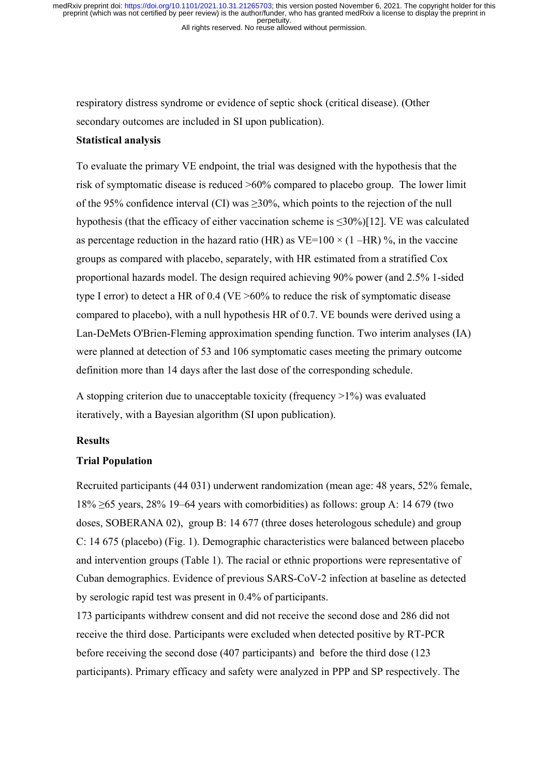respiratory distress syndrome or evidence of septic shock (critical disease). (Other secondary outcomes are included in SI upon publication).

# **Statistical analysis**

To evaluate the primary VE endpoint, the trial was designed with the hypothesis that the risk of symptomatic disease is reduced >60% compared to placebo group. The lower limit of the 95% confidence interval (CI) was  $\geq$ 30%, which points to the rejection of the null hypothesis (that the efficacy of either vaccination scheme is  $\leq 30\%$ )[12]. VE was calculated as percentage reduction in the hazard ratio (HR) as VE=100  $\times$  (1 –HR) %, in the vaccine groups as compared with placebo, separately, with HR estimated from a stratified Cox proportional hazards model. The design required achieving 90% power (and 2.5% 1-sided type I error) to detect a HR of 0.4 (VE >60% to reduce the risk of symptomatic disease compared to placebo), with a null hypothesis HR of 0.7. VE bounds were derived using a Lan-DeMets O'Brien-Fleming approximation spending function. Two interim analyses (IA) were planned at detection of 53 and 106 symptomatic cases meeting the primary outcome definition more than 14 days after the last dose of the corresponding schedule.

A stopping criterion due to unacceptable toxicity (frequency  $>1\%$ ) was evaluated iteratively, with a Bayesian algorithm (SI upon publication).

## **Results**

### **Trial Population**

Recruited participants (44 031) underwent randomization (mean age: 48 years, 52% female,  $18\% \ge 65$  years, 28% 19–64 years with comorbidities) as follows: group A: 14 679 (two doses, SOBERANA 02), group B: 14 677 (three doses heterologous schedule) and group C: 14 675 (placebo) (Fig. 1). Demographic characteristics were balanced between placebo and intervention groups (Table 1). The racial or ethnic proportions were representative of Cuban demographics. Evidence of previous SARS-CoV-2 infection at baseline as detected by serologic rapid test was present in 0.4% of participants.

173 participants withdrew consent and did not receive the second dose and 286 did not receive the third dose. Participants were excluded when detected positive by RT-PCR before receiving the second dose (407 participants) and before the third dose (123 participants). Primary efficacy and safety were analyzed in PPP and SP respectively. The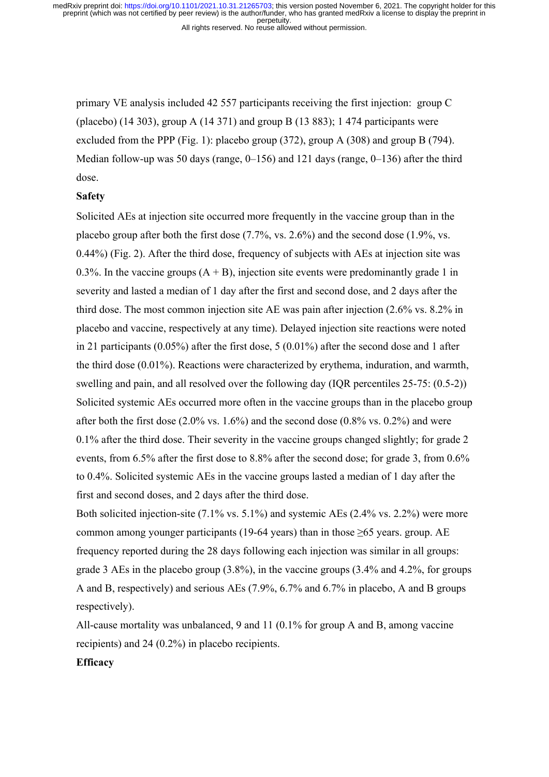All rights reserved. No reuse allowed without permission.

primary VE analysis included 42 557 participants receiving the first injection: group C (placebo)  $(14\,303)$ , group A  $(14\,371)$  and group B  $(13\,883)$ ; 1474 participants were excluded from the PPP (Fig. 1): placebo group (372), group A (308) and group B (794). Median follow-up was 50 days (range, 0–156) and 121 days (range, 0–136) after the third dose.

#### **Safety**

Solicited AEs at injection site occurred more frequently in the vaccine group than in the placebo group after both the first dose (7.7%, vs. 2.6%) and the second dose (1.9%, vs. 0.44%) (Fig. 2). After the third dose, frequency of subjects with AEs at injection site was 0.3%. In the vaccine groups  $(A + B)$ , injection site events were predominantly grade 1 in severity and lasted a median of 1 day after the first and second dose, and 2 days after the third dose. The most common injection site AE was pain after injection (2.6% vs. 8.2% in placebo and vaccine, respectively at any time). Delayed injection site reactions were noted in 21 participants (0.05%) after the first dose, 5 (0.01%) after the second dose and 1 after the third dose (0.01%). Reactions were characterized by erythema, induration, and warmth, swelling and pain, and all resolved over the following day (IQR percentiles 25-75: (0.5-2)) Solicited systemic AEs occurred more often in the vaccine groups than in the placebo group after both the first dose  $(2.0\% \text{ vs. } 1.6\%)$  and the second dose  $(0.8\% \text{ vs. } 0.2\%)$  and were 0.1% after the third dose. Their severity in the vaccine groups changed slightly; for grade 2 events, from 6.5% after the first dose to 8.8% after the second dose; for grade 3, from 0.6% to 0.4%. Solicited systemic AEs in the vaccine groups lasted a median of 1 day after the first and second doses, and 2 days after the third dose.

Both solicited injection-site (7.1% vs. 5.1%) and systemic AEs (2.4% vs. 2.2%) were more common among younger participants (19-64 years) than in those  $\geq 65$  years. group. AE frequency reported during the 28 days following each injection was similar in all groups: grade 3 AEs in the placebo group (3.8%), in the vaccine groups (3.4% and 4.2%, for groups A and B, respectively) and serious AEs (7.9%, 6.7% and 6.7% in placebo, A and B groups respectively).

All-cause mortality was unbalanced, 9 and 11 (0.1% for group A and B, among vaccine recipients) and 24 (0.2%) in placebo recipients.

# **Efficacy**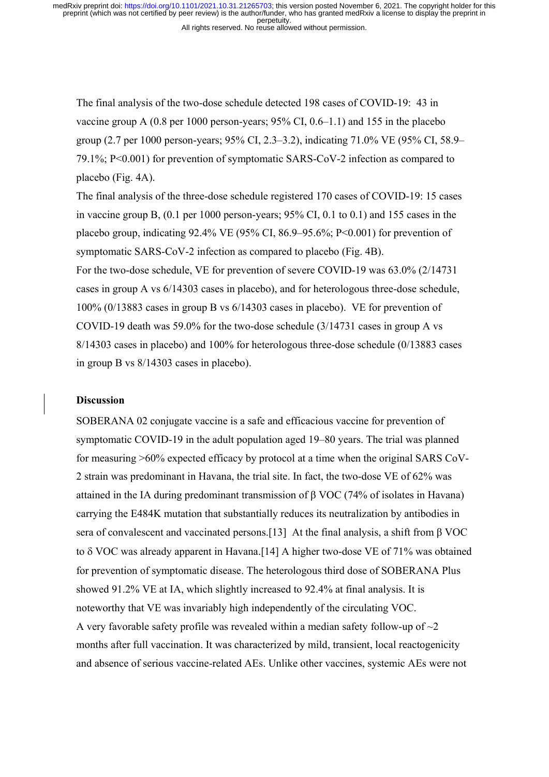All rights reserved. No reuse allowed without permission.

The final analysis of the two-dose schedule detected 198 cases of COVID-19: 43 in vaccine group A (0.8 per 1000 person-years; 95% CI, 0.6–1.1) and 155 in the placebo group (2.7 per 1000 person-years; 95% CI, 2.3–3.2), indicating 71.0% VE (95% CI, 58.9– 79.1%; P<0.001) for prevention of symptomatic SARS-CoV-2 infection as compared to placebo (Fig. 4A).

The final analysis of the three-dose schedule registered 170 cases of COVID-19: 15 cases in vaccine group B, (0.1 per 1000 person-years; 95% CI, 0.1 to 0.1) and 155 cases in the placebo group, indicating 92.4% VE (95% CI, 86.9–95.6%; P<0.001) for prevention of symptomatic SARS-CoV-2 infection as compared to placebo (Fig. 4B). For the two-dose schedule, VE for prevention of severe COVID-19 was 63.0% (2/14731 cases in group A vs 6/14303 cases in placebo), and for heterologous three-dose schedule, 100% (0/13883 cases in group B vs 6/14303 cases in placebo). VE for prevention of COVID-19 death was 59.0% for the two-dose schedule (3/14731 cases in group A vs 8/14303 cases in placebo) and 100% for heterologous three-dose schedule (0/13883 cases in group B vs 8/14303 cases in placebo).

# **Discussion**

SOBERANA 02 conjugate vaccine is a safe and efficacious vaccine for prevention of symptomatic COVID-19 in the adult population aged 19–80 years. The trial was planned for measuring >60% expected efficacy by protocol at a time when the original SARS CoV-2 strain was predominant in Havana, the trial site. In fact, the two-dose VE of 62% was attained in the IA during predominant transmission of  $\beta$  VOC (74% of isolates in Havana) carrying the E484K mutation that substantially reduces its neutralization by antibodies in sera of convalescent and vaccinated persons.[13] At the final analysis, a shift from β VOC to  $\delta$  VOC was already apparent in Havana. [14] A higher two-dose VE of 71% was obtained for prevention of symptomatic disease. The heterologous third dose of SOBERANA Plus showed 91.2% VE at IA, which slightly increased to 92.4% at final analysis. It is noteworthy that VE was invariably high independently of the circulating VOC. A very favorable safety profile was revealed within a median safety follow-up of  $\sim$ 2 months after full vaccination. It was characterized by mild, transient, local reactogenicity and absence of serious vaccine-related AEs. Unlike other vaccines, systemic AEs were not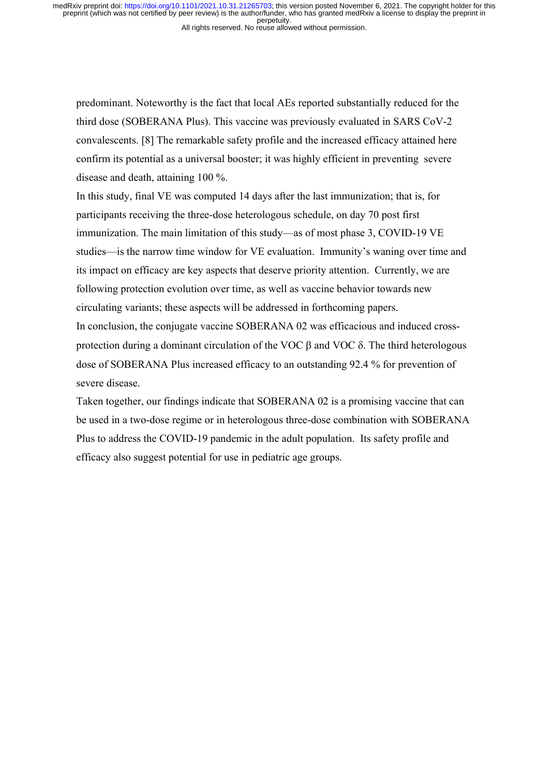All rights reserved. No reuse allowed without permission.

predominant. Noteworthy is the fact that local AEs reported substantially reduced for the third dose (SOBERANA Plus). This vaccine was previously evaluated in SARS CoV-2 convalescents. [8] The remarkable safety profile and the increased efficacy attained here confirm its potential as a universal booster; it was highly efficient in preventing severe disease and death, attaining 100 %.

In this study, final VE was computed 14 days after the last immunization; that is, for participants receiving the three-dose heterologous schedule, on day 70 post first immunization. The main limitation of this study—as of most phase 3, COVID-19 VE studies—is the narrow time window for VE evaluation. Immunity's waning over time and its impact on efficacy are key aspects that deserve priority attention. Currently, we are following protection evolution over time, as well as vaccine behavior towards new circulating variants; these aspects will be addressed in forthcoming papers. In conclusion, the conjugate vaccine SOBERANA 02 was efficacious and induced crossprotection during a dominant circulation of the VOC  $\beta$  and VOC  $\delta$ . The third heterologous dose of SOBERANA Plus increased efficacy to an outstanding 92.4 % for prevention of severe disease.

Taken together, our findings indicate that SOBERANA 02 is a promising vaccine that can be used in a two-dose regime or in heterologous three-dose combination with SOBERANA Plus to address the COVID-19 pandemic in the adult population. Its safety profile and efficacy also suggest potential for use in pediatric age groups.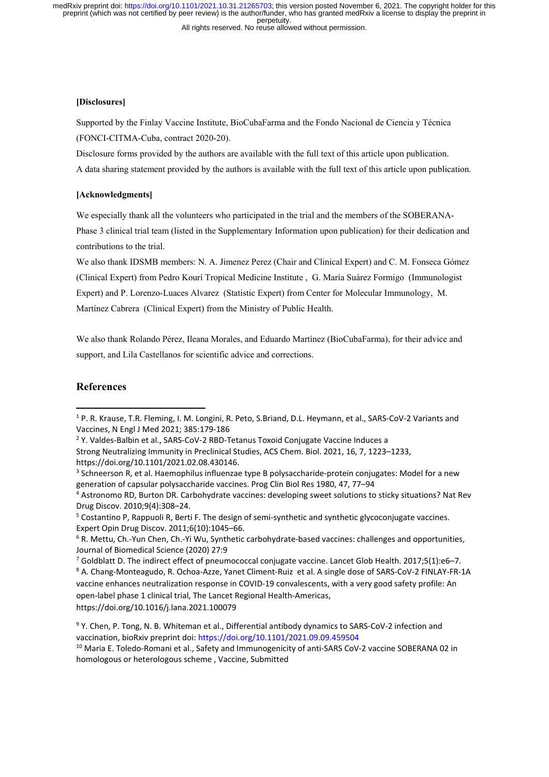#### All rights reserved. No reuse allowed without permission.

#### **[Disclosures]**

Supported by the Finlay Vaccine Institute, BioCubaFarma and the Fondo Nacional de Ciencia y Técnica (FONCI-CITMA-Cuba, contract 2020-20).

Disclosure forms provided by the authors are available with the full text of this article upon publication.

A data sharing statement provided by the authors is available with the full text of this article upon publication.

#### **[Acknowledgments]**

We especially thank all the volunteers who participated in the trial and the members of the SOBERANA-Phase 3 clinical trial team (listed in the Supplementary Information upon publication) for their dedication and contributions to the trial.

We also thank IDSMB members: N. A. Jimenez Perez (Chair and Clinical Expert) and C. M. Fonseca Gómez (Clinical Expert) from Pedro Kourí Tropical Medicine Institute , G. María Suárez Formigo (Immunologist Expert) and P. Lorenzo-Luaces Alvarez (Statistic Expert) from Center for Molecular Immunology, M. Martínez Cabrera (Clinical Expert) from the Ministry of Public Health.

We also thank Rolando Pérez, Ileana Morales, and Eduardo Martínez (BioCubaFarma), for their advice and support, and Lila Castellanos for scientific advice and corrections.

## **References**

4 Astronomo RD, Burton DR. Carbohydrate vaccines: developing sweet solutions to sticky situations? Nat Rev Drug Discov. 2010;9(4):308–24.

<sup>7</sup> Goldblatt D. The indirect effect of pneumococcal conjugate vaccine. Lancet Glob Health. 2017;5(1):e6-7.

8 A. Chang‐Monteagudo, R. Ochoa‐Azze, Yanet Climent‐Ruiz et al. A single dose of SARS‐CoV‐2 FINLAY‐FR‐1A vaccine enhances neutralization response in COVID‐19 convalescents, with a very good safety profile: An open‐label phase 1 clinical trial, The Lancet Regional Health‐Americas, https://doi.org/10.1016/j.lana.2021.100079

<sup>1</sup> P. R. Krause, T.R. Fleming, I. M. Longini, R. Peto, S.Briand, D.L. Heymann, et al., SARS‐CoV‐2 Variants and Vaccines, N Engl J Med 2021; 385:179‐186

<sup>2</sup> Y. Valdes‐Balbin et al., SARS‐CoV-2 RBD‐Tetanus Toxoid Conjugate Vaccine Induces a Strong Neutralizing Immunity in Preclinical Studies, ACS Chem. Biol. 2021, 16, 7, 1223–1233, https://doi.org/10.1101/2021.02.08.430146.

<sup>&</sup>lt;sup>3</sup> Schneerson R, et al. Haemophilus influenzae type B polysaccharide-protein conjugates: Model for a new generation of capsular polysaccharide vaccines. Prog Clin Biol Res 1980, 47, 77–94

<sup>&</sup>lt;sup>5</sup> Costantino P, Rappuoli R, Berti F. The design of semi-synthetic and synthetic glycoconjugate vaccines. Expert Opin Drug Discov. 2011;6(10):1045–66.

<sup>6</sup> R. Mettu, Ch.‐Yun Chen, Ch.‐Yi Wu, Synthetic carbohydrate‐based vaccines: challenges and opportunities, Journal of Biomedical Science (2020) 27:9

<sup>&</sup>lt;sup>9</sup> Y. Chen, P. Tong, N. B. Whiteman et al., Differential antibody dynamics to SARS-CoV-2 infection and vaccination, bioRxiv preprint doi: https://doi.org/10.1101/2021.09.09.459504

<sup>&</sup>lt;sup>10</sup> Maria E. Toledo-Romani et al., Safety and Immunogenicity of anti-SARS CoV-2 vaccine SOBERANA 02 in homologous or heterologous scheme , Vaccine, Submitted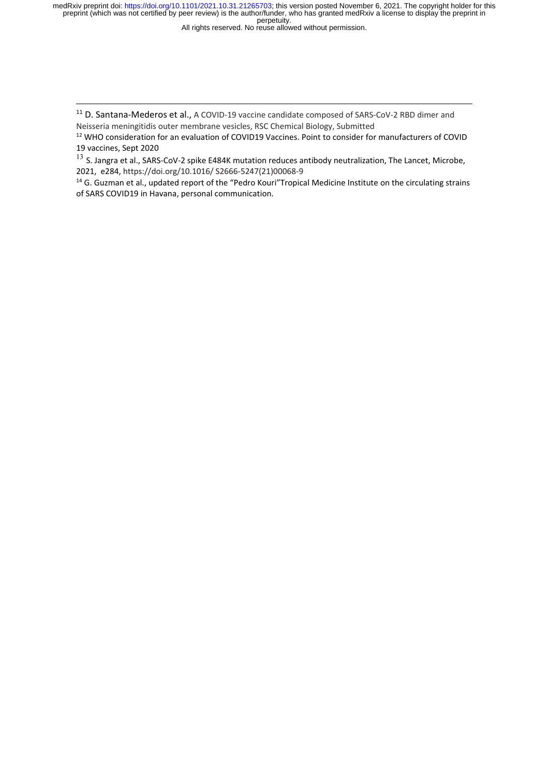All rights reserved. No reuse allowed without permission.

<sup>11</sup> D. Santana-Mederos et al., A COVID-19 vaccine candidate composed of SARS-CoV-2 RBD dimer and Neisseria meningitidis outer membrane vesicles, RSC Chemical Biology, Submitted

12 WHO consideration for an evaluation of COVID19 Vaccines. Point to consider for manufacturers of COVID 19 vaccines, Sept 2020

 $13$  S. Jangra et al., SARS-CoV-2 spike E484K mutation reduces antibody neutralization, The Lancet, Microbe, 2021, e284, https://doi.org/10.1016/ S2666‐5247(21)00068‐9

<sup>14</sup> G. Guzman et al., updated report of the "Pedro Kouri"Tropical Medicine Institute on the circulating strains of SARS COVID19 in Havana, personal communication.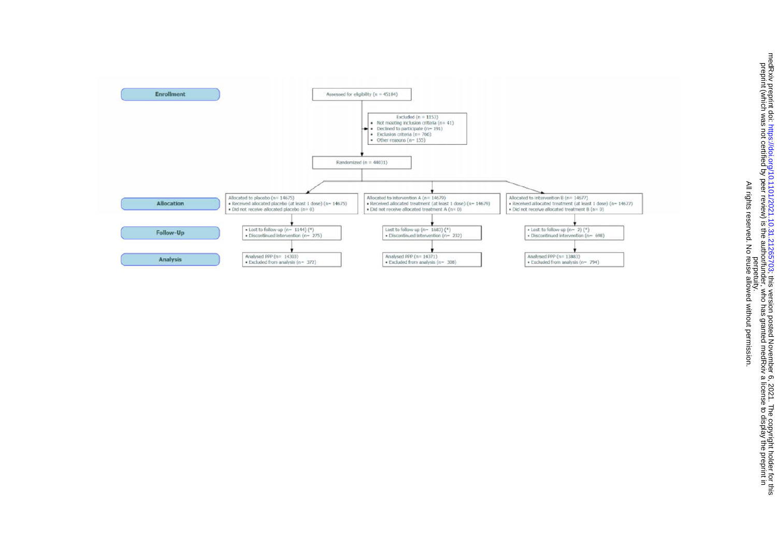

All rights reserved. No reuse allowed without permission.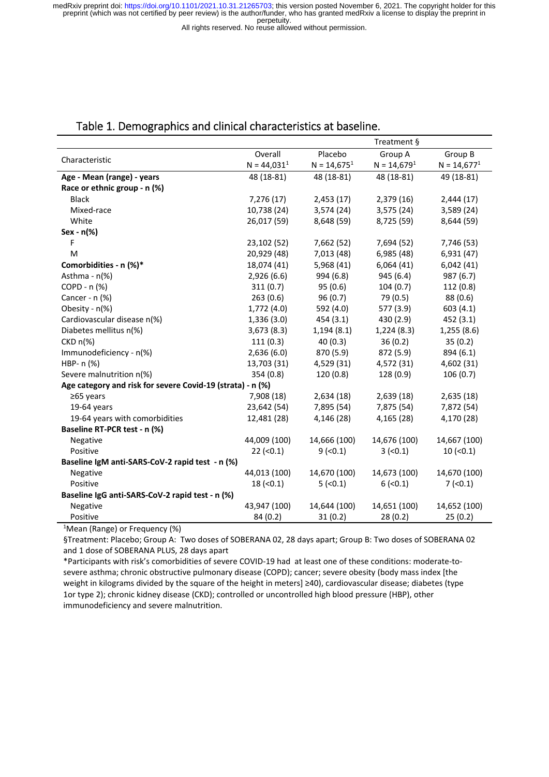All rights reserved. No reuse allowed without permission.

|                                                            |               |               | Treatment §   |               |
|------------------------------------------------------------|---------------|---------------|---------------|---------------|
|                                                            | Overall       | Placebo       | Group A       | Group B       |
| Characteristic                                             | $N = 44,0311$ | $N = 14,6751$ | $N = 14,6791$ | $N = 14,6771$ |
| Age - Mean (range) - years                                 | 48 (18-81)    | 48 (18-81)    | 48 (18-81)    | 49 (18-81)    |
| Race or ethnic group - n (%)                               |               |               |               |               |
| <b>Black</b>                                               | 7,276 (17)    | 2,453(17)     | 2,379 (16)    | 2,444(17)     |
| Mixed-race                                                 | 10,738 (24)   | 3,574 (24)    | 3,575 (24)    | 3,589 (24)    |
| White                                                      | 26,017 (59)   | 8,648 (59)    | 8,725 (59)    | 8,644 (59)    |
| Sex - n(%)                                                 |               |               |               |               |
| F                                                          | 23,102 (52)   | 7,662 (52)    | 7,694 (52)    | 7,746 (53)    |
| M                                                          | 20,929 (48)   | 7,013 (48)    | 6,985 (48)    | 6,931 (47)    |
| Comorbidities - n (%)*                                     | 18,074 (41)   | 5,968 (41)    | 6,064(41)     | 6,042(41)     |
| Asthma - n(%)                                              | 2,926(6.6)    | 994 (6.8)     | 945 (6.4)     | 987 (6.7)     |
| COPD - n (%)                                               | 311(0.7)      | 95(0.6)       | 104(0.7)      | 112 (0.8)     |
| Cancer - n (%)                                             | 263(0.6)      | 96(0.7)       | 79 (0.5)      | 88 (0.6)      |
| Obesity - n(%)                                             | 1,772 (4.0)   | 592 (4.0)     | 577 (3.9)     | 603(4.1)      |
| Cardiovascular disease n(%)                                | 1,336 (3.0)   | 454 (3.1)     | 430 (2.9)     | 452 (3.1)     |
| Diabetes mellitus n(%)                                     | 3,673(8.3)    | 1,194(8.1)    | 1,224(8.3)    | 1,255 (8.6)   |
| $CKD n(\%)$                                                | 111(0.3)      | 40(0.3)       | 36(0.2)       | 35(0.2)       |
| Immunodeficiency - n(%)                                    | 2,636(6.0)    | 870 (5.9)     | 872 (5.9)     | 894 (6.1)     |
| HBP- n (%)                                                 | 13,703 (31)   | 4,529 (31)    | 4,572 (31)    | 4,602 (31)    |
| Severe malnutrition n(%)                                   | 354 (0.8)     | 120 (0.8)     | 128 (0.9)     | 106(0.7)      |
| Age category and risk for severe Covid-19 (strata) - n (%) |               |               |               |               |
| $≥65$ years                                                | 7,908 (18)    | 2,634(18)     | 2,639(18)     | 2,635(18)     |
| 19-64 years                                                | 23,642 (54)   | 7,895 (54)    | 7,875 (54)    | 7,872 (54)    |
| 19-64 years with comorbidities                             | 12,481 (28)   | 4,146 (28)    | 4,165 (28)    | 4,170 (28)    |
| Baseline RT-PCR test - n (%)                               |               |               |               |               |
| Negative                                                   | 44,009 (100)  | 14,666 (100)  | 14,676 (100)  | 14,667 (100)  |
| Positive                                                   | $22 (-0.1)$   | $9$ (<0.1)    | $3 (-0.1)$    | $10 (-0.1)$   |
| Baseline IgM anti-SARS-CoV-2 rapid test - n (%)            |               |               |               |               |
| Negative                                                   | 44,013 (100)  | 14,670 (100)  | 14,673 (100)  | 14,670 (100)  |
| Positive                                                   | $18 (-0.1)$   | $5$ (<0.1)    | $6$ (<0.1)    | $7$ (<0.1)    |
| Baseline IgG anti-SARS-CoV-2 rapid test - n (%)            |               |               |               |               |
| Negative                                                   | 43,947 (100)  | 14,644 (100)  | 14,651 (100)  | 14,652 (100)  |
| Positive                                                   | 84 (0.2)      | 31(0.2)       | 28(0.2)       | 25(0.2)       |

# Table 1. Demographics and clinical characteristics at baseline.

1 Mean (Range) or Frequency (%)

§Treatment: Placebo; Group A: Two doses of SOBERANA 02, 28 days apart; Group B: Two doses of SOBERANA 02 and 1 dose of SOBERANA PLUS, 28 days apart

\*Participants with risk's comorbidities of severe COVID‐19 had at least one of these conditions: moderate‐to‐ severe asthma; chronic obstructive pulmonary disease (COPD); cancer; severe obesity (body mass index [the weight in kilograms divided by the square of the height in meters] ≥40), cardiovascular disease; diabetes (type 1or type 2); chronic kidney disease (CKD); controlled or uncontrolled high blood pressure (HBP), other immunodeficiency and severe malnutrition.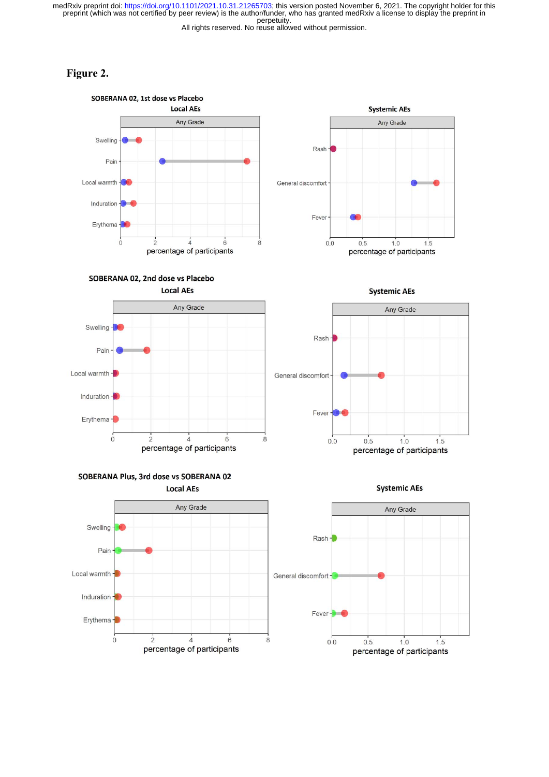All rights reserved. No reuse allowed without permission.

# **Figure 2.**





percentage of participants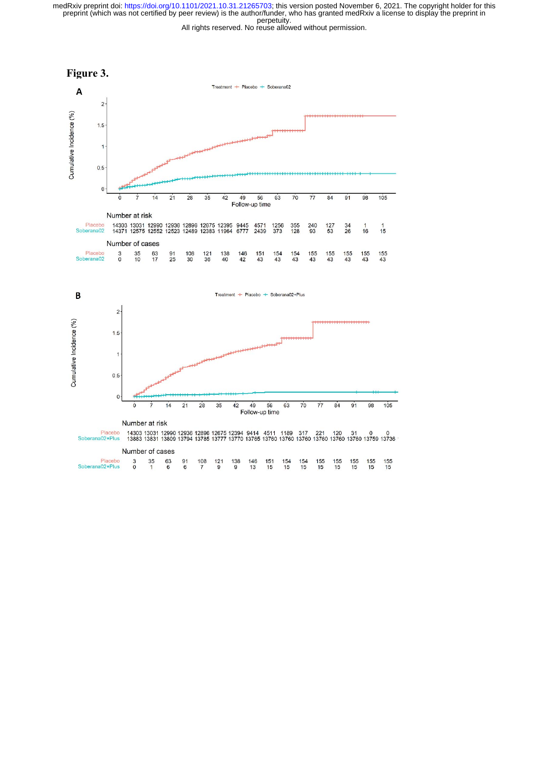All rights reserved. No reuse allowed without permission.

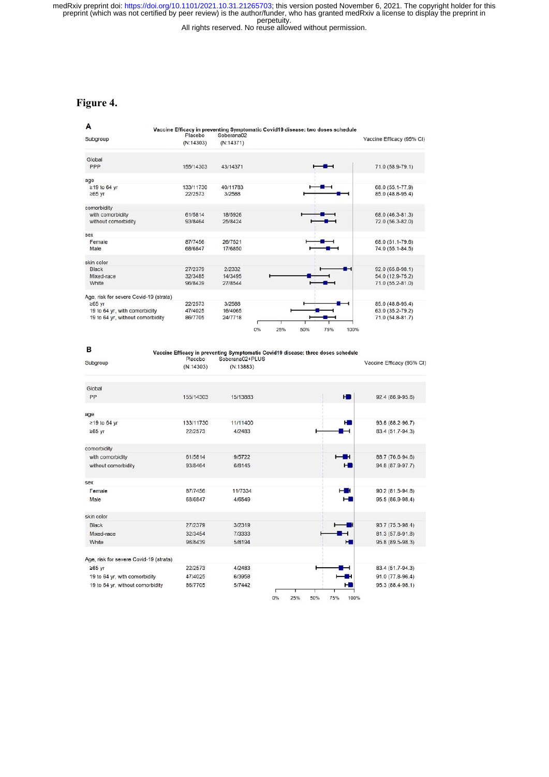All rights reserved. No reuse allowed without permission.

# **Figure 4.**

| A                                      | Vaccine Efficacy in preventing Symptomatic Covid19 disease: two doses schedule |            |    |     |     |     |      |                           |
|----------------------------------------|--------------------------------------------------------------------------------|------------|----|-----|-----|-----|------|---------------------------|
| Subgroup                               | Placebo                                                                        | Soberana02 |    |     |     |     |      | Vaccine Efficacy (95% CI) |
|                                        | (N:14303)                                                                      | (N:14371)  |    |     |     |     |      |                           |
| Global                                 |                                                                                |            |    |     |     |     |      |                           |
| PPP                                    | 155/14303                                                                      | 43/14371   |    |     |     |     |      | 71.0 (58.9-79.1)          |
| age                                    |                                                                                |            |    |     |     |     |      |                           |
| ≥19 to 64 yr                           | 133/11730                                                                      | 40/11783   |    |     |     |     |      | 68.0 (55.1-77.9)          |
| $≥65$ yr                               | 22/2573                                                                        | 3/2588     |    |     |     |     |      | 85.0 (48.8-95.4)          |
| comorbidity                            |                                                                                |            |    |     |     |     |      |                           |
| with comorbidity                       | 61/5814                                                                        | 18/5926    |    |     |     |     |      | 68.0 (46.3-81.3)          |
| without comorbidity                    | 93/8464                                                                        | 25/8424    |    |     |     |     |      | 72.0 (56.3-82.0)          |
| sex                                    |                                                                                |            |    |     |     |     |      |                           |
| Female                                 | 87/7456                                                                        | 26/7521    |    |     |     |     |      | 68.0 (51.1-79.6)          |
| Male                                   | 68/6847                                                                        | 17/6850    |    |     |     |     |      | 74.0 (55.1-84.5)          |
| skin color                             |                                                                                |            |    |     |     |     |      |                           |
| Black                                  | 27/2379                                                                        | 2/2332     |    |     |     |     |      | 92.0 (65.8-98.1)          |
| Mixed-race                             | 32/3485                                                                        | 14/3495    |    |     |     |     |      | 54.0 (12.9-75.2)          |
| White                                  | 96/8439                                                                        | 27/8544    |    |     |     |     |      | 71.0 (55.2-81.0)          |
| Age, risk for severe Covid-19 (strata) |                                                                                |            |    |     |     |     |      |                           |
| $≥65$ yr                               | 22/2573                                                                        | 3/2588     |    |     |     |     |      | 85.0 (48.8-95.4)          |
| 19 to 64 yr, with comorbidity          | 47/4025                                                                        | 16/4065    |    |     |     |     |      | 63.0 (35.2-79.2)          |
| 19 to 64 yr, without comorbidity       | 86/7705                                                                        | 24/7718    |    |     |     |     |      | 71.0 (54.8-81.7)          |
|                                        |                                                                                |            |    |     |     |     |      |                           |
|                                        |                                                                                |            | 0% | 25% | 50% | 75% | 100% |                           |

| в                                      | Vaccine Efficacy in preventing Symptomatic Covid19 disease: three doses schedule<br>Soberana02+PLUS<br>Placebo |           |           |            |                                    |  |
|----------------------------------------|----------------------------------------------------------------------------------------------------------------|-----------|-----------|------------|------------------------------------|--|
| Subgroup                               | (N:14303)                                                                                                      | (N:13883) |           |            | Vaccine Efficacy (95% CI)          |  |
| Global                                 |                                                                                                                |           |           |            |                                    |  |
| PP                                     | 155/14303                                                                                                      | 15/13883  |           |            | H <sub>2</sub><br>92.4 (86.9-95.6) |  |
| age                                    |                                                                                                                |           |           |            |                                    |  |
| ≥19 to 64 yr                           | 133/11730                                                                                                      | 11/11400  |           |            | H<br>93.8 (88.2-96.7)              |  |
| $\geq 65$ yr                           | 22/2573                                                                                                        | 4/2483    |           |            | 83.4 (51.7-94.3)                   |  |
| comorbidity                            |                                                                                                                |           |           |            |                                    |  |
| with comorbidity                       | 61/5814                                                                                                        | 9/5722    |           |            | 88.7 (76.6-94.6)                   |  |
| without comorbidity                    | 93/8464                                                                                                        | 6/8145    |           |            | 94.8 (87.9-97.7)<br>н              |  |
| sex                                    |                                                                                                                |           |           |            |                                    |  |
| Female                                 | 87/7456                                                                                                        | 11/7334   |           | н          | $90.2(81.5-94.8)$                  |  |
| Male                                   | 68/6847                                                                                                        | 4/6549    |           |            | 95.5 (86.9-98.4)<br>н              |  |
| skin color                             |                                                                                                                |           |           |            |                                    |  |
| <b>Black</b>                           | 27/2379                                                                                                        | 3/2319    |           |            | 93.7 (75.3-98.4)                   |  |
| Mixed-race                             | 32/3454                                                                                                        | 7/3333    |           |            | 81.3 (57.6-91.8)                   |  |
| White                                  | 96/8439                                                                                                        | 5/8194    |           |            | н<br>95.8 (89.5-98.3)              |  |
| Age, risk for severe Covid-19 (strata) |                                                                                                                |           |           |            |                                    |  |
| $265$ yr                               | 22/2573                                                                                                        | 4/2483    |           |            | 83.4 (51.7-94.3)                   |  |
| 19 to 64 yr, with comorbidity          | 47/4025                                                                                                        | 6/3958    |           |            | 91.0 (77.8-96.4)                   |  |
| 19 to 64 yr, without comorbidity       | 86/7705                                                                                                        | 5/7442    |           |            | 95.3 (88.4-98.1)<br>н              |  |
|                                        |                                                                                                                |           | 0%<br>25% | 50%<br>75% | 100%                               |  |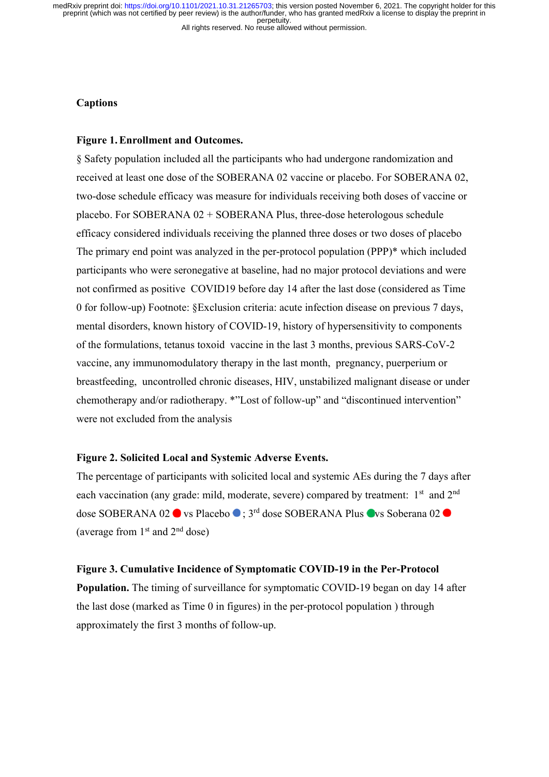## **Captions**

### **Figure 1.Enrollment and Outcomes.**

§ Safety population included all the participants who had undergone randomization and received at least one dose of the SOBERANA 02 vaccine or placebo. For SOBERANA 02, two-dose schedule efficacy was measure for individuals receiving both doses of vaccine or placebo. For SOBERANA 02 + SOBERANA Plus, three-dose heterologous schedule efficacy considered individuals receiving the planned three doses or two doses of placebo The primary end point was analyzed in the per-protocol population (PPP)\* which included participants who were seronegative at baseline, had no major protocol deviations and were not confirmed as positive COVID19 before day 14 after the last dose (considered as Time 0 for follow-up) Footnote: §Exclusion criteria: acute infection disease on previous 7 days, mental disorders, known history of COVID-19, history of hypersensitivity to components of the formulations, tetanus toxoid vaccine in the last 3 months, previous SARS-CoV-2 vaccine, any immunomodulatory therapy in the last month, pregnancy, puerperium or breastfeeding, uncontrolled chronic diseases, HIV, unstabilized malignant disease or under chemotherapy and/or radiotherapy. \*"Lost of follow-up" and "discontinued intervention" were not excluded from the analysis

# **Figure 2. Solicited Local and Systemic Adverse Events.**

The percentage of participants with solicited local and systemic AEs during the 7 days after each vaccination (any grade: mild, moderate, severe) compared by treatment:  $1<sup>st</sup>$  and  $2<sup>nd</sup>$ dose SOBERANA 02 ● vs Placebo ● ; 3<sup>rd</sup> dose SOBERANA Plus ● vs Soberana 02 ● (average from  $1<sup>st</sup>$  and  $2<sup>nd</sup>$  dose)

#### **Figure 3. Cumulative Incidence of Symptomatic COVID-19 in the Per-Protocol**

**Population.** The timing of surveillance for symptomatic COVID-19 began on day 14 after the last dose (marked as Time 0 in figures) in the per-protocol population ) through approximately the first 3 months of follow-up.